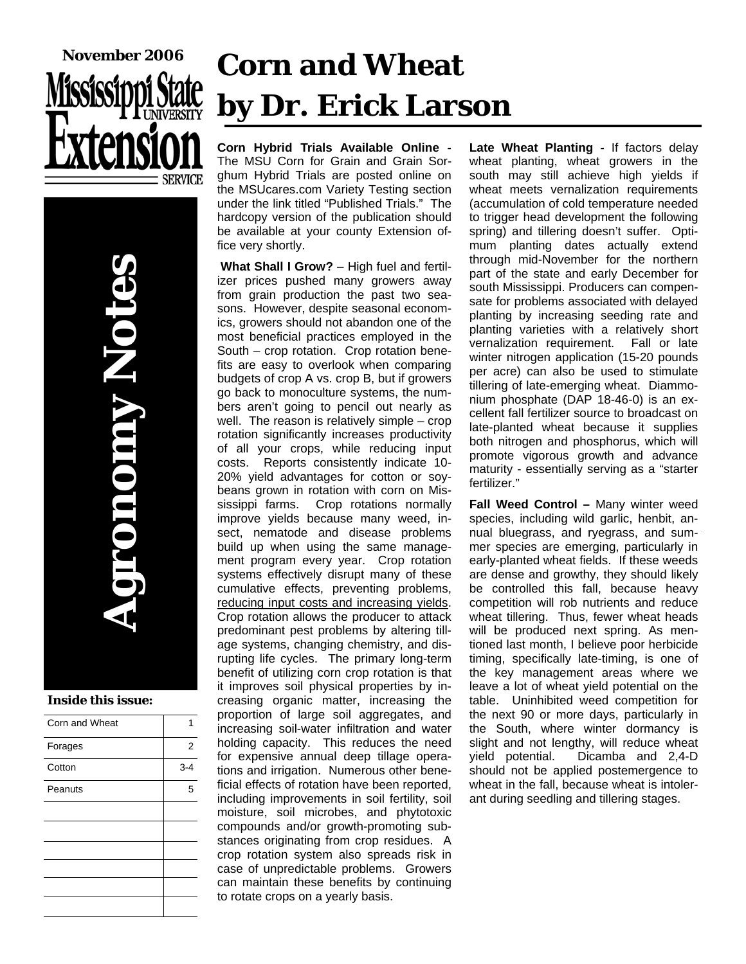



#### **Inside this issue:**

| Corn and Wheat |         |
|----------------|---------|
| Forages        | 2       |
| Cotton         | $3 - 4$ |
| Peanuts        | 5       |
|                |         |
|                |         |
|                |         |
|                |         |
|                |         |
|                |         |

# **Corn and Wheat by Dr. Erick Larson**

**Corn Hybrid Trials Available Online -**  The MSU Corn for Grain and Grain Sorghum Hybrid Trials are posted online on the MSUcares.com Variety Testing section under the link titled "Published Trials." The hardcopy version of the publication should be available at your county Extension office very shortly.

**What Shall I Grow?** – High fuel and fertilizer prices pushed many growers away from grain production the past two seasons. However, despite seasonal economics, growers should not abandon one of the most beneficial practices employed in the South – crop rotation. Crop rotation benefits are easy to overlook when comparing budgets of crop A vs. crop B, but if growers go back to monoculture systems, the numbers aren't going to pencil out nearly as well. The reason is relatively simple – crop rotation significantly increases productivity of all your crops, while reducing input costs. Reports consistently indicate 10- 20% yield advantages for cotton or soybeans grown in rotation with corn on Mississippi farms. Crop rotations normally improve yields because many weed, insect, nematode and disease problems build up when using the same management program every year. Crop rotation systems effectively disrupt many of these cumulative effects, preventing problems, reducing input costs and increasing yields. Crop rotation allows the producer to attack predominant pest problems by altering tillage systems, changing chemistry, and disrupting life cycles. The primary long-term benefit of utilizing corn crop rotation is that it improves soil physical properties by increasing organic matter, increasing the proportion of large soil aggregates, and increasing soil-water infiltration and water holding capacity. This reduces the need for expensive annual deep tillage operations and irrigation. Numerous other beneficial effects of rotation have been reported, including improvements in soil fertility, soil moisture, soil microbes, and phytotoxic compounds and/or growth-promoting substances originating from crop residues. A crop rotation system also spreads risk in case of unpredictable problems. Growers can maintain these benefits by continuing to rotate crops on a yearly basis.

**Late Wheat Planting -** If factors delay wheat planting, wheat growers in the south may still achieve high yields if wheat meets vernalization requirements (accumulation of cold temperature needed to trigger head development the following spring) and tillering doesn't suffer. Optimum planting dates actually extend through mid-November for the northern part of the state and early December for south Mississippi. Producers can compensate for problems associated with delayed planting by increasing seeding rate and planting varieties with a relatively short vernalization requirement. Fall or late winter nitrogen application (15-20 pounds per acre) can also be used to stimulate tillering of late-emerging wheat. Diammonium phosphate (DAP 18-46-0) is an excellent fall fertilizer source to broadcast on late-planted wheat because it supplies both nitrogen and phosphorus, which will promote vigorous growth and advance maturity - essentially serving as a "starter fertilizer."

**Fall Weed Control –** Many winter weed species, including wild garlic, henbit, annual bluegrass, and ryegrass, and summer species are emerging, particularly in early-planted wheat fields. If these weeds are dense and growthy, they should likely be controlled this fall, because heavy competition will rob nutrients and reduce wheat tillering. Thus, fewer wheat heads will be produced next spring. As mentioned last month, I believe poor herbicide timing, specifically late-timing, is one of the key management areas where we leave a lot of wheat yield potential on the table. Uninhibited weed competition for the next 90 or more days, particularly in the South, where winter dormancy is slight and not lengthy, will reduce wheat yield potential. Dicamba and 2,4-D should not be applied postemergence to wheat in the fall, because wheat is intolerant during seedling and tillering stages.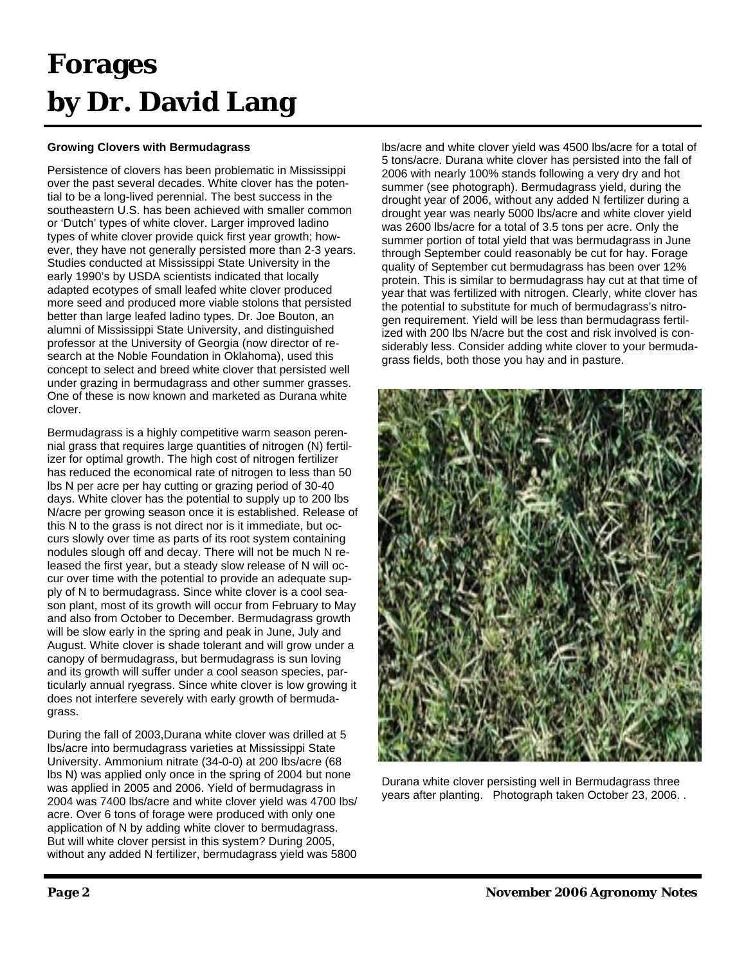## **Forages by Dr. David Lang**

### **Growing Clovers with Bermudagrass**

Persistence of clovers has been problematic in Mississippi over the past several decades. White clover has the potential to be a long-lived perennial. The best success in the southeastern U.S. has been achieved with smaller common or 'Dutch' types of white clover. Larger improved ladino types of white clover provide quick first year growth; however, they have not generally persisted more than 2-3 years. Studies conducted at Mississippi State University in the early 1990's by USDA scientists indicated that locally adapted ecotypes of small leafed white clover produced more seed and produced more viable stolons that persisted better than large leafed ladino types. Dr. Joe Bouton, an alumni of Mississippi State University, and distinguished professor at the University of Georgia (now director of research at the Noble Foundation in Oklahoma), used this concept to select and breed white clover that persisted well under grazing in bermudagrass and other summer grasses. One of these is now known and marketed as Durana white clover.

Bermudagrass is a highly competitive warm season perennial grass that requires large quantities of nitrogen (N) fertilizer for optimal growth. The high cost of nitrogen fertilizer has reduced the economical rate of nitrogen to less than 50 lbs N per acre per hay cutting or grazing period of 30-40 days. White clover has the potential to supply up to 200 lbs N/acre per growing season once it is established. Release of this N to the grass is not direct nor is it immediate, but occurs slowly over time as parts of its root system containing nodules slough off and decay. There will not be much N released the first year, but a steady slow release of N will occur over time with the potential to provide an adequate supply of N to bermudagrass. Since white clover is a cool season plant, most of its growth will occur from February to May and also from October to December. Bermudagrass growth will be slow early in the spring and peak in June, July and August. White clover is shade tolerant and will grow under a canopy of bermudagrass, but bermudagrass is sun loving and its growth will suffer under a cool season species, particularly annual ryegrass. Since white clover is low growing it does not interfere severely with early growth of bermudagrass.

During the fall of 2003,Durana white clover was drilled at 5 lbs/acre into bermudagrass varieties at Mississippi State University. Ammonium nitrate (34-0-0) at 200 lbs/acre (68 lbs N) was applied only once in the spring of 2004 but none was applied in 2005 and 2006. Yield of bermudagrass in 2004 was 7400 lbs/acre and white clover yield was 4700 lbs/ acre. Over 6 tons of forage were produced with only one application of N by adding white clover to bermudagrass. But will white clover persist in this system? During 2005, without any added N fertilizer, bermudagrass yield was 5800 lbs/acre and white clover yield was 4500 lbs/acre for a total of 5 tons/acre. Durana white clover has persisted into the fall of 2006 with nearly 100% stands following a very dry and hot summer (see photograph). Bermudagrass yield, during the drought year of 2006, without any added N fertilizer during a drought year was nearly 5000 lbs/acre and white clover yield was 2600 lbs/acre for a total of 3.5 tons per acre. Only the summer portion of total yield that was bermudagrass in June through September could reasonably be cut for hay. Forage quality of September cut bermudagrass has been over 12% protein. This is similar to bermudagrass hay cut at that time of year that was fertilized with nitrogen. Clearly, white clover has the potential to substitute for much of bermudagrass's nitrogen requirement. Yield will be less than bermudagrass fertilized with 200 lbs N/acre but the cost and risk involved is considerably less. Consider adding white clover to your bermudagrass fields, both those you hay and in pasture.



Durana white clover persisting well in Bermudagrass three years after planting. Photograph taken October 23, 2006. .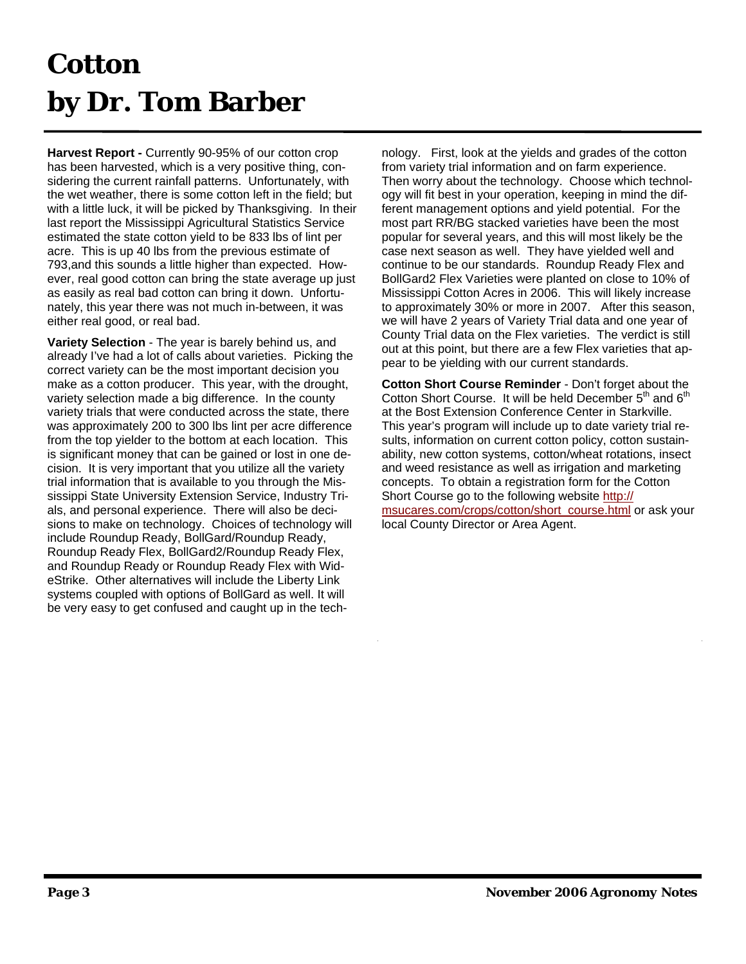## **Cotton by Dr. Tom Barber**

**Harvest Report -** Currently 90-95% of our cotton crop has been harvested, which is a very positive thing, considering the current rainfall patterns. Unfortunately, with the wet weather, there is some cotton left in the field; but with a little luck, it will be picked by Thanksgiving. In their last report the Mississippi Agricultural Statistics Service estimated the state cotton yield to be 833 lbs of lint per acre. This is up 40 lbs from the previous estimate of 793,and this sounds a little higher than expected. However, real good cotton can bring the state average up just as easily as real bad cotton can bring it down. Unfortunately, this year there was not much in-between, it was either real good, or real bad.

**Variety Selection** - The year is barely behind us, and already I've had a lot of calls about varieties. Picking the correct variety can be the most important decision you make as a cotton producer. This year, with the drought, variety selection made a big difference. In the county variety trials that were conducted across the state, there was approximately 200 to 300 lbs lint per acre difference from the top yielder to the bottom at each location. This is significant money that can be gained or lost in one decision. It is very important that you utilize all the variety trial information that is available to you through the Mississippi State University Extension Service, Industry Trials, and personal experience. There will also be decisions to make on technology. Choices of technology will include Roundup Ready, BollGard/Roundup Ready, Roundup Ready Flex, BollGard2/Roundup Ready Flex, and Roundup Ready or Roundup Ready Flex with WideStrike. Other alternatives will include the Liberty Link systems coupled with options of BollGard as well. It will be very easy to get confused and caught up in the technology. First, look at the yields and grades of the cotton from variety trial information and on farm experience. Then worry about the technology. Choose which technology will fit best in your operation, keeping in mind the different management options and yield potential. For the most part RR/BG stacked varieties have been the most popular for several years, and this will most likely be the case next season as well. They have yielded well and continue to be our standards. Roundup Ready Flex and BollGard2 Flex Varieties were planted on close to 10% of Mississippi Cotton Acres in 2006. This will likely increase to approximately 30% or more in 2007. After this season, we will have 2 years of Variety Trial data and one year of County Trial data on the Flex varieties. The verdict is still out at this point, but there are a few Flex varieties that appear to be yielding with our current standards.

**Cotton Short Course Reminder** - Don't forget about the Cotton Short Course. It will be held December  $5<sup>th</sup>$  and  $6<sup>th</sup>$ at the Bost Extension Conference Center in Starkville. This year's program will include up to date variety trial results, information on current cotton policy, cotton sustainability, new cotton systems, cotton/wheat rotations, insect and weed resistance as well as irrigation and marketing concepts. To obtain a registration form for the Cotton Short Course go to the following website http:// msucares.com/crops/cotton/short\_course.html or ask your local County Director or Area Agent.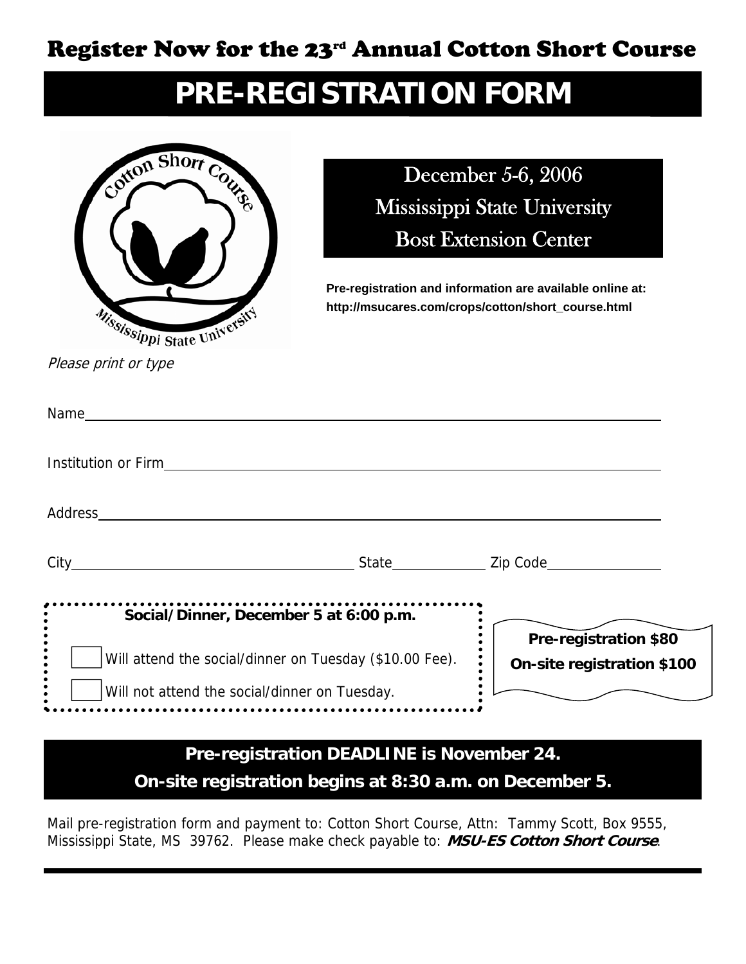### Register Now for the 23rd Annual Cotton Short Course

### **PRE-REGISTRATION FORM**



December 5-6, 2006 Mississippi State University Bost Extension Center

**Pre-registration and information are available online at: http://msucares.com/crops/cotton/short\_course.html** 

Please print or type

| Name                                                                                                                                                                                                                                 |                                                            |
|--------------------------------------------------------------------------------------------------------------------------------------------------------------------------------------------------------------------------------------|------------------------------------------------------------|
| <b>Institution or Firm in the control of the control of the control of the control of the control of the control of the control of the control of the control of the control of the control of the control of the control of the</b> |                                                            |
| Address and the contract of the contract of the contract of the contract of the contract of the contract of the contract of the contract of the contract of the contract of the contract of the contract of the contract of th       |                                                            |
|                                                                                                                                                                                                                                      |                                                            |
| Social/Dinner, December 5 at 6:00 p.m.                                                                                                                                                                                               |                                                            |
| Will attend the social/dinner on Tuesday (\$10.00 Fee).                                                                                                                                                                              | <b>Pre-registration \$80</b><br>On-site registration \$100 |
| Will not attend the social/dinner on Tuesday.                                                                                                                                                                                        |                                                            |

### **Pre-registration DEADLINE is November 24.**

**On-site registration begins at 8:30 a.m. on December 5.** 

Mail pre-registration form and payment to: Cotton Short Course, Attn: Tammy Scott, Box 9555, Mississippi State, MS 39762. Please make check payable to: **MSU-ES Cotton Short Course**.